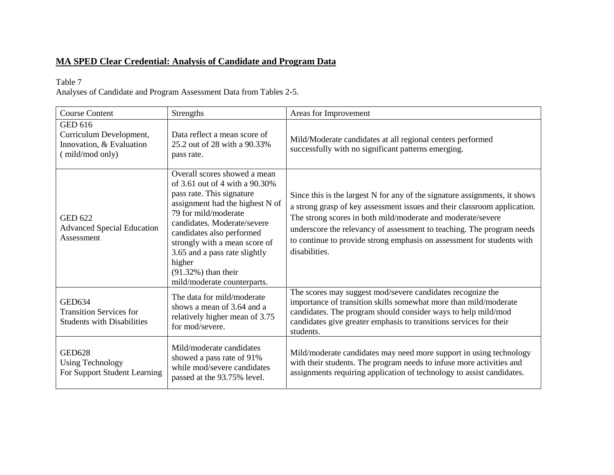# **MA SPED Clear Credential: Analysis of Candidate and Program Data**

### Table 7

Analyses of Candidate and Program Assessment Data from Tables 2-5.

| <b>Course Content</b>                                                                    | <b>Strengths</b>                                                                                                                                                                                                                                                                                                                                        | Areas for Improvement                                                                                                                                                                                                                                                                                                                                                                     |
|------------------------------------------------------------------------------------------|---------------------------------------------------------------------------------------------------------------------------------------------------------------------------------------------------------------------------------------------------------------------------------------------------------------------------------------------------------|-------------------------------------------------------------------------------------------------------------------------------------------------------------------------------------------------------------------------------------------------------------------------------------------------------------------------------------------------------------------------------------------|
| <b>GED 616</b><br>Curriculum Development,<br>Innovation, & Evaluation<br>(mild/mod only) | Data reflect a mean score of<br>25.2 out of 28 with a 90.33%<br>pass rate.                                                                                                                                                                                                                                                                              | Mild/Moderate candidates at all regional centers performed<br>successfully with no significant patterns emerging.                                                                                                                                                                                                                                                                         |
| <b>GED 622</b><br><b>Advanced Special Education</b><br>Assessment                        | Overall scores showed a mean<br>of 3.61 out of 4 with a 90.30%<br>pass rate. This signature<br>assignment had the highest N of<br>79 for mild/moderate<br>candidates. Moderate/severe<br>candidates also performed<br>strongly with a mean score of<br>3.65 and a pass rate slightly<br>higher<br>$(91.32\%)$ than their<br>mild/moderate counterparts. | Since this is the largest N for any of the signature assignments, it shows<br>a strong grasp of key assessment issues and their classroom application.<br>The strong scores in both mild/moderate and moderate/severe<br>underscore the relevancy of assessment to teaching. The program needs<br>to continue to provide strong emphasis on assessment for students with<br>disabilities. |
| <b>GED634</b><br><b>Transition Services for</b><br><b>Students with Disabilities</b>     | The data for mild/moderate<br>shows a mean of 3.64 and a<br>relatively higher mean of 3.75<br>for mod/severe.                                                                                                                                                                                                                                           | The scores may suggest mod/severe candidates recognize the<br>importance of transition skills somewhat more than mild/moderate<br>candidates. The program should consider ways to help mild/mod<br>candidates give greater emphasis to transitions services for their<br>students.                                                                                                        |
| <b>GED628</b><br><b>Using Technology</b><br>For Support Student Learning                 | Mild/moderate candidates<br>showed a pass rate of 91%<br>while mod/severe candidates<br>passed at the 93.75% level.                                                                                                                                                                                                                                     | Mild/moderate candidates may need more support in using technology<br>with their students. The program needs to infuse more activities and<br>assignments requiring application of technology to assist candidates.                                                                                                                                                                       |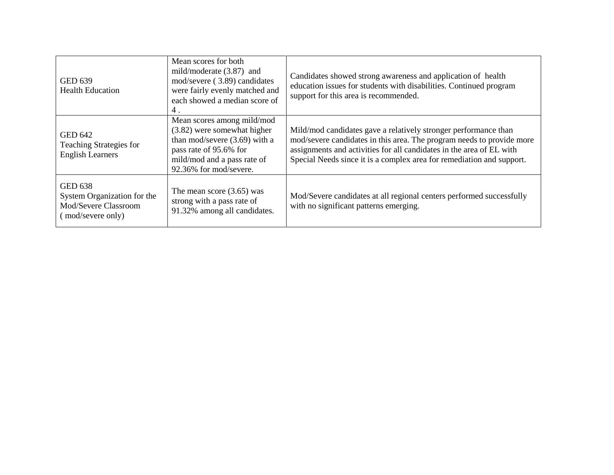| <b>GED 639</b><br><b>Health Education</b>                                                  | Mean scores for both<br>mild/moderate $(3.87)$ and<br>mod/severe (3.89) candidates<br>were fairly evenly matched and<br>each showed a median score of<br>4.                     | Candidates showed strong awareness and application of health<br>education issues for students with disabilities. Continued program<br>support for this area is recommended.                                                                                                               |
|--------------------------------------------------------------------------------------------|---------------------------------------------------------------------------------------------------------------------------------------------------------------------------------|-------------------------------------------------------------------------------------------------------------------------------------------------------------------------------------------------------------------------------------------------------------------------------------------|
| <b>GED 642</b><br>Teaching Strategies for<br><b>English Learners</b>                       | Mean scores among mild/mod<br>(3.82) were somewhat higher<br>than mod/severe $(3.69)$ with a<br>pass rate of 95.6% for<br>mild/mod and a pass rate of<br>92.36% for mod/severe. | Mild/mod candidates gave a relatively stronger performance than<br>mod/severe candidates in this area. The program needs to provide more<br>assignments and activities for all candidates in the area of EL with<br>Special Needs since it is a complex area for remediation and support. |
| <b>GED 638</b><br>System Organization for the<br>Mod/Severe Classroom<br>(mod/severe only) | The mean score $(3.65)$ was<br>strong with a pass rate of<br>91.32% among all candidates.                                                                                       | Mod/Severe candidates at all regional centers performed successfully<br>with no significant patterns emerging.                                                                                                                                                                            |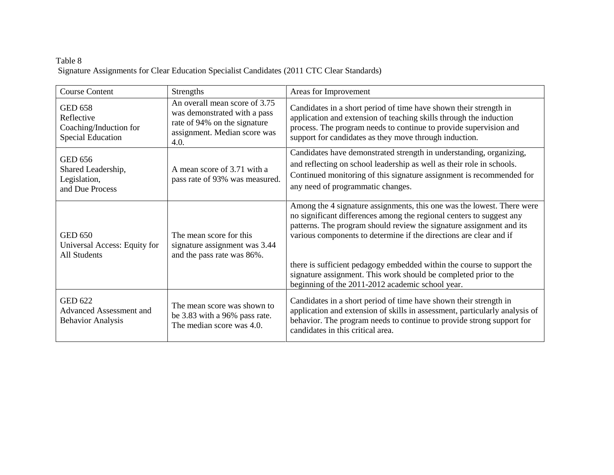## Table 8 Signature Assignments for Clear Education Specialist Candidates (2011 CTC Clear Standards)

| <b>Course Content</b>                                                              | <b>Strengths</b>                                                                                                                      | Areas for Improvement                                                                                                                                                                                                                                                                                                                                                                                                                                                                          |
|------------------------------------------------------------------------------------|---------------------------------------------------------------------------------------------------------------------------------------|------------------------------------------------------------------------------------------------------------------------------------------------------------------------------------------------------------------------------------------------------------------------------------------------------------------------------------------------------------------------------------------------------------------------------------------------------------------------------------------------|
| <b>GED 658</b><br>Reflective<br>Coaching/Induction for<br><b>Special Education</b> | An overall mean score of 3.75<br>was demonstrated with a pass<br>rate of 94% on the signature<br>assignment. Median score was<br>4.0. | Candidates in a short period of time have shown their strength in<br>application and extension of teaching skills through the induction<br>process. The program needs to continue to provide supervision and<br>support for candidates as they move through induction.                                                                                                                                                                                                                         |
| <b>GED 656</b><br>Shared Leadership,<br>Legislation,<br>and Due Process            | A mean score of 3.71 with a<br>pass rate of 93% was measured.                                                                         | Candidates have demonstrated strength in understanding, organizing,<br>and reflecting on school leadership as well as their role in schools.<br>Continued monitoring of this signature assignment is recommended for<br>any need of programmatic changes.                                                                                                                                                                                                                                      |
| <b>GED 650</b><br>Universal Access: Equity for<br><b>All Students</b>              | The mean score for this<br>signature assignment was 3.44<br>and the pass rate was 86%.                                                | Among the 4 signature assignments, this one was the lowest. There were<br>no significant differences among the regional centers to suggest any<br>patterns. The program should review the signature assignment and its<br>various components to determine if the directions are clear and if<br>there is sufficient pedagogy embedded within the course to support the<br>signature assignment. This work should be completed prior to the<br>beginning of the 2011-2012 academic school year. |
| <b>GED 622</b><br><b>Advanced Assessment and</b><br><b>Behavior Analysis</b>       | The mean score was shown to<br>be 3.83 with a 96% pass rate.<br>The median score was 4.0.                                             | Candidates in a short period of time have shown their strength in<br>application and extension of skills in assessment, particularly analysis of<br>behavior. The program needs to continue to provide strong support for<br>candidates in this critical area.                                                                                                                                                                                                                                 |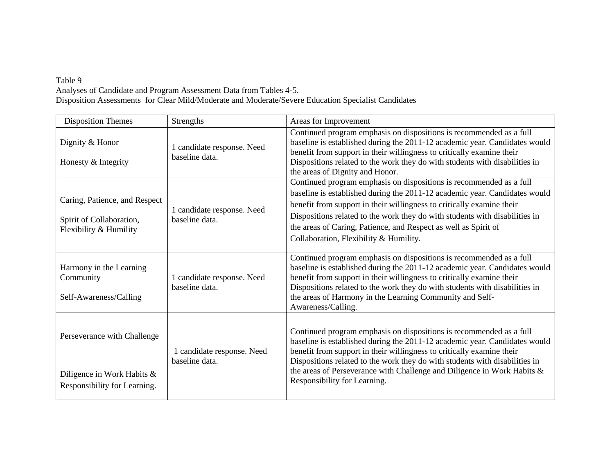#### Table 9

Analyses of Candidate and Program Assessment Data from Tables 4-5. Disposition Assessments for Clear Mild/Moderate and Moderate/Severe Education Specialist Candidates

| <b>Disposition Themes</b>                                                                 | Strengths                                    | Areas for Improvement                                                                                                                                                                                                                                                                                                                                                                                                  |
|-------------------------------------------------------------------------------------------|----------------------------------------------|------------------------------------------------------------------------------------------------------------------------------------------------------------------------------------------------------------------------------------------------------------------------------------------------------------------------------------------------------------------------------------------------------------------------|
| Dignity & Honor<br>Honesty & Integrity                                                    | 1 candidate response. Need<br>baseline data. | Continued program emphasis on dispositions is recommended as a full<br>baseline is established during the 2011-12 academic year. Candidates would<br>benefit from support in their willingness to critically examine their<br>Dispositions related to the work they do with students with disabilities in<br>the areas of Dignity and Honor.                                                                           |
| Caring, Patience, and Respect<br>Spirit of Collaboration,<br>Flexibility & Humility       | 1 candidate response. Need<br>baseline data. | Continued program emphasis on dispositions is recommended as a full<br>baseline is established during the 2011-12 academic year. Candidates would<br>benefit from support in their willingness to critically examine their<br>Dispositions related to the work they do with students with disabilities in<br>the areas of Caring, Patience, and Respect as well as Spirit of<br>Collaboration, Flexibility & Humility. |
| Harmony in the Learning<br>Community<br>Self-Awareness/Calling                            | 1 candidate response. Need<br>baseline data. | Continued program emphasis on dispositions is recommended as a full<br>baseline is established during the 2011-12 academic year. Candidates would<br>benefit from support in their willingness to critically examine their<br>Dispositions related to the work they do with students with disabilities in<br>the areas of Harmony in the Learning Community and Self-<br>Awareness/Calling.                            |
| Perseverance with Challenge<br>Diligence in Work Habits &<br>Responsibility for Learning. | 1 candidate response. Need<br>baseline data. | Continued program emphasis on dispositions is recommended as a full<br>baseline is established during the 2011-12 academic year. Candidates would<br>benefit from support in their willingness to critically examine their<br>Dispositions related to the work they do with students with disabilities in<br>the areas of Perseverance with Challenge and Diligence in Work Habits &<br>Responsibility for Learning.   |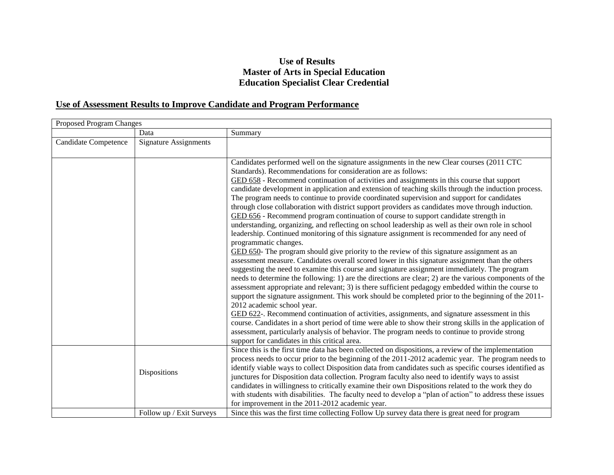## **Use of Results Master of Arts in Special Education Education Specialist Clear Credential**

## **Use of Assessment Results to Improve Candidate and Program Performance**

| Proposed Program Changes |                              |                                                                                                                                                                                                                                                                                                                                                                                                                                                                                                                                                                                                                                                                                                                                                                                                                                                                                                                                                                                                                                                                                                                                                                                                                                                                                                                                                                                                                                                                                                                                                                                                                                                                                                                                                                                                                                                                                                                     |
|--------------------------|------------------------------|---------------------------------------------------------------------------------------------------------------------------------------------------------------------------------------------------------------------------------------------------------------------------------------------------------------------------------------------------------------------------------------------------------------------------------------------------------------------------------------------------------------------------------------------------------------------------------------------------------------------------------------------------------------------------------------------------------------------------------------------------------------------------------------------------------------------------------------------------------------------------------------------------------------------------------------------------------------------------------------------------------------------------------------------------------------------------------------------------------------------------------------------------------------------------------------------------------------------------------------------------------------------------------------------------------------------------------------------------------------------------------------------------------------------------------------------------------------------------------------------------------------------------------------------------------------------------------------------------------------------------------------------------------------------------------------------------------------------------------------------------------------------------------------------------------------------------------------------------------------------------------------------------------------------|
|                          | Data                         | Summary                                                                                                                                                                                                                                                                                                                                                                                                                                                                                                                                                                                                                                                                                                                                                                                                                                                                                                                                                                                                                                                                                                                                                                                                                                                                                                                                                                                                                                                                                                                                                                                                                                                                                                                                                                                                                                                                                                             |
| Candidate Competence     | <b>Signature Assignments</b> |                                                                                                                                                                                                                                                                                                                                                                                                                                                                                                                                                                                                                                                                                                                                                                                                                                                                                                                                                                                                                                                                                                                                                                                                                                                                                                                                                                                                                                                                                                                                                                                                                                                                                                                                                                                                                                                                                                                     |
|                          |                              | Candidates performed well on the signature assignments in the new Clear courses (2011 CTC)<br>Standards). Recommendations for consideration are as follows:<br>GED 658 - Recommend continuation of activities and assignments in this course that support<br>candidate development in application and extension of teaching skills through the induction process.<br>The program needs to continue to provide coordinated supervision and support for candidates<br>through close collaboration with district support providers as candidates move through induction.<br>GED 656 - Recommend program continuation of course to support candidate strength in<br>understanding, organizing, and reflecting on school leadership as well as their own role in school<br>leadership. Continued monitoring of this signature assignment is recommended for any need of<br>programmatic changes.<br>GED 650- The program should give priority to the review of this signature assignment as an<br>assessment measure. Candidates overall scored lower in this signature assignment than the others<br>suggesting the need to examine this course and signature assignment immediately. The program<br>needs to determine the following: 1) are the directions are clear; 2) are the various components of the<br>assessment appropriate and relevant; 3) is there sufficient pedagogy embedded within the course to<br>support the signature assignment. This work should be completed prior to the beginning of the 2011-<br>2012 academic school year.<br>GED 622-. Recommend continuation of activities, assignments, and signature assessment in this<br>course. Candidates in a short period of time were able to show their strong skills in the application of<br>assessment, particularly analysis of behavior. The program needs to continue to provide strong<br>support for candidates in this critical area. |
|                          | Dispositions                 | Since this is the first time data has been collected on dispositions, a review of the implementation<br>process needs to occur prior to the beginning of the 2011-2012 academic year. The program needs to<br>identify viable ways to collect Disposition data from candidates such as specific courses identified as<br>junctures for Disposition data collection. Program faculty also need to identify ways to assist<br>candidates in willingness to critically examine their own Dispositions related to the work they do<br>with students with disabilities. The faculty need to develop a "plan of action" to address these issues<br>for improvement in the 2011-2012 academic year.                                                                                                                                                                                                                                                                                                                                                                                                                                                                                                                                                                                                                                                                                                                                                                                                                                                                                                                                                                                                                                                                                                                                                                                                                        |
|                          | Follow up / Exit Surveys     | Since this was the first time collecting Follow Up survey data there is great need for program                                                                                                                                                                                                                                                                                                                                                                                                                                                                                                                                                                                                                                                                                                                                                                                                                                                                                                                                                                                                                                                                                                                                                                                                                                                                                                                                                                                                                                                                                                                                                                                                                                                                                                                                                                                                                      |